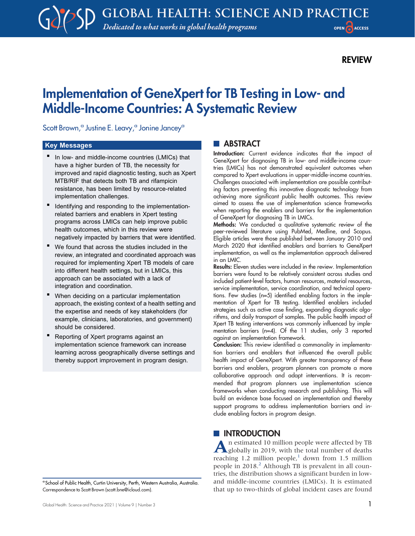# REVIEW

# Implementation of GeneXpert for TB Testing in Low- and Middle-Income Countries: A Systematic Review

Scott Brown,<sup>a</sup> Justine E. Leavy,<sup>a</sup> Jonine Jancey<sup>a</sup>

#### Key Messages

- In low- and middle-income countries (LMICs) that have a higher burden of TB, the necessity for improved and rapid diagnostic testing, such as Xpert MTB/RIF that detects both TB and rifampicin resistance, has been limited by resource-related implementation challenges.
- Identifying and responding to the implementationrelated barriers and enablers in Xpert testing programs across LMICs can help improve public health outcomes, which in this review were negatively impacted by barriers that were identified.
- We found that across the studies included in the review, an integrated and coordinated approach was required for implementing Xpert TB models of care into different health settings, but in LMICs, this approach can be associated with a lack of integration and coordination.
- When deciding on a particular implementation approach, the existing context of a health setting and the expertise and needs of key stakeholders (for example, clinicians, laboratories, and government) should be considered.
- Reporting of Xpert programs against an implementation science framework can increase learning across geographically diverse settings and thereby support improvement in program design.

# **ABSTRACT**

Introduction: Current evidence indicates that the impact of GeneXpert for diagnosing TB in low- and middle-income countries (LMICs) has not demonstrated equivalent outcomes when compared to Xpert evaluations in upper-middle-income countries. Challenges associated with implementation are possible contributing factors preventing this innovative diagnostic technology from achieving more significant public health outcomes. This review aimed to assess the use of implementation science frameworks when reporting the enablers and barriers for the implementation of GeneXpert for diagnosing TB in LMICs.

Methods: We conducted a qualitative systematic review of the peer-reviewed literature using PubMed, Medline, and Scopus. Eligible articles were those published between January 2010 and March 2020 that identified enablers and barriers to GeneXpert implementation, as well as the implementation approach delivered in an LMIC.

Results: Eleven studies were included in the review. Implementation barriers were found to be relatively consistent across studies and included patient-level factors, human resources, material resources, service implementation, service coordination, and technical operations. Few studies (n=5) identified enabling factors in the implementation of Xpert for TB testing. Identified enablers included strategies such as active case finding, expanding diagnostic algorithms, and daily transport of samples. The public health impact of Xpert TB testing interventions was commonly influenced by implementation barriers (n=4). Of the 11 studies, only 3 reported against an implementation framework.

Conclusion: This review identified a commonality in implementation barriers and enablers that influenced the overall public health impact of GeneXpert. With greater transparency of these barriers and enablers, program planners can promote a more collaborative approach and adapt interventions. It is recommended that program planners use implementation science frameworks when conducting research and publishing. This will build an evidence base focused on implementation and thereby support programs to address implementation barriers and include enabling factors in program design.

# **INTRODUCTION**

An estimated 10 million people were affected by TB<br>globally in 2019, with the total number of deaths reaching 1.2 million people, $1$  down from 1.5 million people in  $2018<sup>2</sup>$  $2018<sup>2</sup>$  Although TB is prevalent in all countries, the distribution shows a significant burden in lowand middle-income countries (LMICs). It is estimated that up to two-thirds of global incident cases are found

<sup>a</sup> School of Public Health, Curtin University, Perth, Western Australia, Australia. Correspondence to Scott Brown ([scott.bne@icloud.com\)](mailto:scott.bne@icloud.com).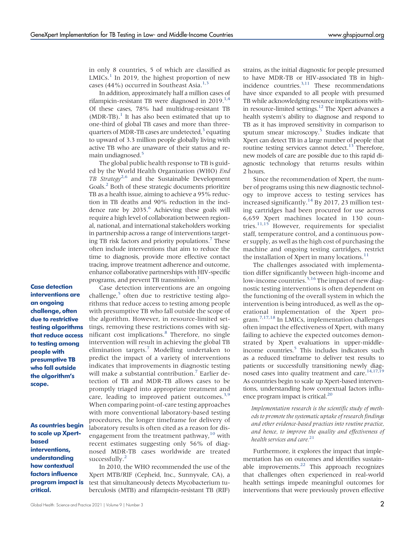in only 8 countries, 5 of which are classified as  $LMICS<sup>1</sup>$  $LMICS<sup>1</sup>$  $LMICS<sup>1</sup>$  In 2019, the highest proportion of new cases (44%) occurred in Southeast Asia.<sup>[1,](#page-10-0)[3](#page-10-2)</sup>

In addition, approximately half a million cases of rifampicin-resistant TB were diagnosed in  $2019$ <sup> $1.4$ </sup> Of these cases, 78% had multidrug-resistant TB  $(MDR-TB)$ .<sup>1</sup> It has also been estimated that up to one-third of global TB cases and more than threequarters of MDR-TB cases are undetected, $3$  equating to upward of 3.3 million people globally living with active TB who are unaware of their status and re-main undiagnosed.<sup>[5](#page-10-4)</sup>

The global public health response to TB is guided by the World Health Organization (WHO) End TB Strategy<sup>[2](#page-10-1)[,6](#page-10-5)</sup> and the Sustainable Development Goals[.2](#page-10-1) Both of these strategic documents prioritize TB as a health issue, aiming to achieve a 95% reduction in TB deaths and 90% reduction in the inci-dence rate by 2035.<sup>[6](#page-10-5)</sup> Achieving these goals will require a high level of collaboration between regional, national, and international stakeholders working in partnership across a range of interventions targeting TB risk factors and priority populations[.7](#page-10-6) These often include interventions that aim to reduce the time to diagnosis, provide more effective contact tracing, improve treatment adherence and outcome, enhance collaborative partnerships with HIV-specific programs, and prevent TB transmission[.3](#page-10-2)

Case detection interventions are an ongoing challenge, often due to restrictive testing algorithms that reduce access to testing among people with presumptive TB who fall outside the algorithm's scope.

As countries begin to scale up Xpertbased interventions, understanding how contextual factors influence program impact is critical.

Case detection interventions are an ongoing challenge, $5$  often due to restrictive testing algorithms that reduce access to testing among people with presumptive TB who fall outside the scope of the algorithm. However, in resource-limited settings, removing these restrictions comes with sig-nificant cost implications.<sup>[8](#page-10-7)</sup> Therefore, no single intervention will result in achieving the global TB elimination targets.[7](#page-10-6) Modelling undertaken to predict the impact of a variety of interventions indicates that improvements in diagnostic testing will make a substantial contribution.<sup>[7](#page-10-6)</sup> Earlier detection of TB and MDR-TB allows cases to be promptly triaged into appropriate treatment and care, leading to improved patient outcomes.<sup>3,[9](#page-11-0)</sup> When comparing point-of-care testing approaches with more conventional laboratory-based testing procedures, the longer timeframe for delivery of laboratory results is often cited as a reason for disengagement from the treatment pathway, $10$  with recent estimates suggesting only 56% of diagnosed MDR-TB cases worldwide are treated successfully.<sup>[2](#page-10-1)</sup>

In 2010, the WHO recommended the use of the Xpert MTB/RIF (Cepheid, Inc., Sunnyvale, CA), a test that simultaneously detects Mycobacterium tuberculosis (MTB) and rifampicin-resistant TB (RIF)

strains, as the initial diagnostic for people presumed to have MDR-TB or HIV-associated TB in high-incidence countries.<sup>3[,11](#page-11-2)</sup> These recommendations have since expanded to all people with presumed TB while acknowledging resource implications within resource-limited settings[.12](#page-11-3) The Xpert advances a health system's ability to diagnose and respond to TB as it has improved sensitivity in comparison to sputum smear microscopy.<sup>[5](#page-10-4)</sup> Studies indicate that Xpert can detect TB in a large number of people that routine testing services cannot detect.<sup>13</sup> Therefore, new models of care are possible due to this rapid diagnostic technology that returns results within 2 hours.

Since the recommendation of Xpert, the number of programs using this new diagnostic technology to improve access to testing services has increased significantly.<sup>[14](#page-11-5)</sup> By 2017, 23 million testing cartridges had been procured for use across 6,659 Xpert machines located in 130 countries. $11,15$  $11,15$  However, requirements for specialist staff, temperature control, and a continuous power supply, as well as the high cost of purchasing the machine and ongoing testing cartridges, restrict the installation of Xpert in many locations.<sup>[11](#page-11-2)</sup>

The challenges associated with implementation differ significantly between high-income and low-income countries.<sup>[5,](#page-10-4)[16](#page-11-7)</sup> The impact of new diagnostic testing interventions is often dependent on the functioning of the overall system in which the intervention is being introduced, as well as the operational implementation of the Xpert program.[7,](#page-10-6)[17](#page-11-8)[,18](#page-11-9) In LMICs, implementation challenges often impact the effectiveness of Xpert, with many failing to achieve the expected outcomes demonstrated by Xpert evaluations in upper-middle-income countries.<sup>[5](#page-10-4)</sup> This includes indicators such as a reduced timeframe to deliver test results to patients or successfully transitioning newly diag-nosed cases into quality treatment and care.<sup>14,[17](#page-11-8)[,19](#page-11-10)</sup> As countries begin to scale up Xpert-based interventions, understanding how contextual factors influence program impact is critical.<sup>20</sup>

Implementation research is the scientific study of methods to promote the systematic uptake of research findings and other evidence-based practices into routine practice, and hence, to improve the quality and effectiveness of health services and care.<sup>[21](#page-11-12)</sup>

Furthermore, it explores the impact that implementation has on outcomes and identifies sustainable improvements. $22$  This approach recognizes that challenges often experienced in real-world health settings impede meaningful outcomes for interventions that were previously proven effective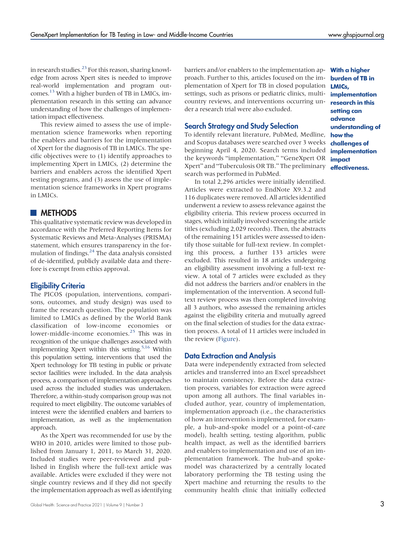in research studies. $^{23}$  $^{23}$  $^{23}$  For this reason, sharing knowledge from across Xpert sites is needed to improve real-world implementation and program outcomes[.13](#page-11-4) With a higher burden of TB in LMICs, implementation research in this setting can advance understanding of how the challenges of implementation impact effectiveness.

This review aimed to assess the use of implementation science frameworks when reporting the enablers and barriers for the implementation of Xpert for the diagnosis of TB in LMICs. The specific objectives were to (1) identify approaches to implementing Xpert in LMICs, (2) determine the barriers and enablers across the identified Xpert testing programs, and (3) assess the use of implementation science frameworks in Xpert programs in LMICs.

## **METHODS**

This qualitative systematic review was developed in accordance with the Preferred Reporting Items for Systematic Reviews and Meta-Analyses (PRISMA) statement, which ensures transparency in the formulation of findings.[24](#page-11-15) The data analysis consisted of de-identified, publicly available data and therefore is exempt from ethics approval.

#### Eligibility Criteria

The PICOS (population, interventions, comparisons, outcomes, and study design) was used to frame the research question. The population was limited to LMICs as defined by the World Bank classification of low-income economies or lower-middle-income economies.<sup>[25](#page-11-16)</sup> This was in recognition of the unique challenges associated with implementing Xpert within this setting.<sup>5[,16](#page-11-7)</sup> Within this population setting, interventions that used the Xpert technology for TB testing in public or private sector facilities were included. In the data analysis process, a comparison of implementation approaches used across the included studies was undertaken. Therefore, a within-study comparison group was not required to meet eligibility. The outcome variables of interest were the identified enablers and barriers to implementation, as well as the implementation approach.

As the Xpert was recommended for use by the WHO in 2010, articles were limited to those published from January 1, 2011, to March 31, 2020. Included studies were peer-reviewed and published in English where the full-text article was available. Articles were excluded if they were not single country reviews and if they did not specify the implementation approach as well as identifying

barriers and/or enablers to the implementation ap- **With a higher** proach. Further to this, articles focused on the implementation of Xpert for TB in closed population settings, such as prisons or pediatric clinics, multicountry reviews, and interventions occurring under a research trial were also excluded.

#### Search Strategy and Study Selection

To identify relevant literature, PubMed, Medline, and Scopus databases were searched over 3 weeks beginning April 4, 2020. Search terms included the keywords "implementation," "GeneXpert OR Xpert" and "Tuberculosis OR TB." The preliminary search was performed in PubMed.

In total 2,296 articles were initially identified. Articles were extracted to EndNote X9.3.2 and 116 duplicates were removed. All articles identified underwent a review to assess relevance against the eligibility criteria. This review process occurred in stages, which initially involved screening the article titles (excluding 2,029 records). Then, the abstracts of the remaining 151 articles were assessed to identify those suitable for full-text review. In completing this process, a further 133 articles were excluded. This resulted in 18 articles undergoing an eligibility assessment involving a full-text review. A total of 7 articles were excluded as they did not address the barriers and/or enablers in the implementation of the intervention. A second fulltext review process was then completed involving all 3 authors, who assessed the remaining articles against the eligibility criteria and mutually agreed on the final selection of studies for the data extraction process. A total of 11 articles were included in the review ([Figure](#page-3-0)).

#### Data Extraction and Analysis

Data were independently extracted from selected articles and transferred into an Excel spreadsheet to maintain consistency. Before the data extraction process, variables for extraction were agreed upon among all authors. The final variables included author, year, country of implementation, implementation approach (i.e., the characteristics of how an intervention is implemented, for example, a hub-and-spoke model or a point-of-care model), health setting, testing algorithm, public health impact, as well as the identified barriers and enablers to implementation and use of an implementation framework. The hub-and spokemodel was characterized by a centrally located laboratory performing the TB testing using the Xpert machine and returning the results to the community health clinic that initially collected

burden of TB in LMICs, implementation research in this setting can advance understanding of how the challenges of implementation impact effectiveness.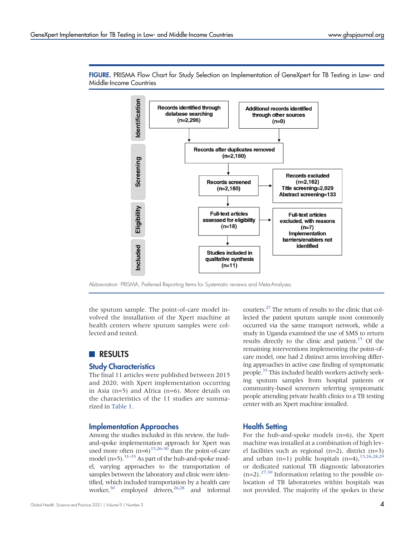

<span id="page-3-0"></span>FIGURE. PRISMA Flow Chart for Study Selection on Implementation of GeneXpert for TB Testing in Low- and Middle-Income Countries

Abbreviation: PRISMA, Preferred Reporting Items for Systematic reviews and Meta-Analyses.

the sputum sample. The point-of-care model involved the installation of the Xpert machine at health centers where sputum samples were collected and tested.

## **RESULTS**

#### Study Characteristics

The final 11 articles were published between 2015 and 2020, with Xpert implementation occurring in Asia (n=5) and Africa (n=6). More details on the characteristics of the 11 studies are summarized in [Table 1.](#page-4-0)

#### Implementation Approaches

Among the studies included in this review, the huband-spoke implementation approach for Xpert was used more often  $(n=6)^{15,26-30}$  $(n=6)^{15,26-30}$  $(n=6)^{15,26-30}$  $(n=6)^{15,26-30}$  $(n=6)^{15,26-30}$  than the point-of-care model  $(n=5)$ .<sup>31–[35](#page-11-20)</sup> As part of the hub-and-spoke model, varying approaches to the transportation of samples between the laboratory and clinic were identified, which included transportation by a health care worker,<sup>30</sup> employed drivers,<sup>26[,28](#page-11-21)</sup> and informal

couriers[.27](#page-11-22) The return of results to the clinic that collected the patient sputum sample most commonly occurred via the same transport network, while a study in Uganda examined the use of SMS to return results directly to the clinic and patient.<sup>[15](#page-11-6)</sup> Of the remaining interventions implementing the point-ofcare model, one had 2 distinct arms involving differing approaches in active case finding of symptomatic people.<sup>35</sup> This included health workers actively seeking sputum samples from hospital patients or community-based screeners referring symptomatic people attending private health clinics to a TB testing center with an Xpert machine installed.

#### Health Setting

For the hub-and-spoke models (n=6), the Xpert machine was installed at a combination of high level facilities such as regional (n=2), district (n=3) and urban (n=1) public hospitals  $(n=4)$ ,  $15,26,28,29$  $15,26,28,29$  $15,26,28,29$  $15,26,28,29$ or dedicated national TB diagnostic laboratories  $(n=2)$ .<sup>27[,30](#page-11-18)</sup> Information relating to the possible colocation of TB laboratories within hospitals was not provided. The majority of the spokes in these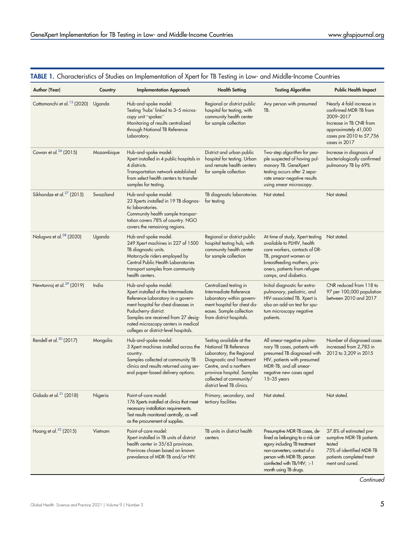| Author (Year)                           | Country    | <b>Implementation Approach</b>                                                                                                                                                                                                                                                         | <b>Health Setting</b>                                                                                                                                                                                                                                                                                                                                                                                                               | <b>Testing Algorithm</b>                                                                                                                                                                                                    | <b>Public Health Impact</b>                                                                                                                                     |  |
|-----------------------------------------|------------|----------------------------------------------------------------------------------------------------------------------------------------------------------------------------------------------------------------------------------------------------------------------------------------|-------------------------------------------------------------------------------------------------------------------------------------------------------------------------------------------------------------------------------------------------------------------------------------------------------------------------------------------------------------------------------------------------------------------------------------|-----------------------------------------------------------------------------------------------------------------------------------------------------------------------------------------------------------------------------|-----------------------------------------------------------------------------------------------------------------------------------------------------------------|--|
| Cattamanchi et al. <sup>15</sup> (2020) | Uganda     | Hub-and-spoke model:<br>Testing 'hubs' linked to 3-5 micros-<br>copy unit "spokes"<br>Monitoring of results centralized<br>through National TB Reference<br>Laboratory.                                                                                                                | Regional or district public<br>Any person with presumed<br>hospital for testing, with<br>TB.<br>community health center<br>for sample collection                                                                                                                                                                                                                                                                                    |                                                                                                                                                                                                                             | Nearly 4-fold increase in<br>confirmed MDR-TB from<br>2009-2017<br>Increase in TB CNR from<br>approximately 41,000<br>cases pre-2010 to 57,756<br>cases in 2017 |  |
| Cowan et al. <sup>26</sup> (2015)       | Mozambique | Hub-and-spoke model:<br>Xpert installed in 4 public hospitals in<br>4 districts.<br>Transportation network established<br>from select health centers to transfer<br>samples for testing.                                                                                               | District and urban public<br>hospital for testing. Urban<br>and remote health centers<br>for sample collection                                                                                                                                                                                                                                                                                                                      | Two-step algorithm for peo-<br>ple suspected of having pul-<br>monary TB. GeneXpert<br>testing occurs after 2 sepa-<br>rate smear-negative results<br>using smear microscopy.                                               | Increase in diagnosis of<br>bacteriologically confirmed<br>pulmonary TB by 69%                                                                                  |  |
| Sikhondze et al. <sup>27</sup> (2015)   | Swaziland  | Hub-and-spoke model:<br>23 Xperts installed in 19 TB diagnos-<br>tic laboratories.<br>Community health sample transpor-<br>tation covers 78% of country. NGO<br>covers the remaining regions.                                                                                          | TB diagnostic laboratories<br>Not stated.<br>for testing                                                                                                                                                                                                                                                                                                                                                                            |                                                                                                                                                                                                                             | Not stated.                                                                                                                                                     |  |
| Nalugwa et al. <sup>28</sup> (2020)     | Uganda     | Hub-and-spoke model.<br>249 Xpert machines in 227 of 1500<br>TB diagnostic units.<br>Motorcycle riders employed by<br>Central Public Health Laboratories<br>transport samples from community<br>health centers.                                                                        | Regional or district public<br>hospital testing hub, with<br>community health center<br>for sample collection                                                                                                                                                                                                                                                                                                                       | At time of study, Xpert testing<br>available to PLHIV, health<br>care workers, contacts of DR-<br>TB, pregnant women or<br>breastfeeding mothers, pris-<br>oners, patients from refugee<br>camps, and diabetics.            | Not stated.                                                                                                                                                     |  |
| Newtonraj et al. <sup>29</sup> (2019)   | India      | Hub-and-spoke model:<br>Xpert installed at the Intermediate<br>Reference Laboratory in a govern-<br>ment hospital for chest diseases in<br>Puducherry district.<br>Samples are received from 27 desig-<br>nated microscopy centers in medical<br>colleges or district-level hospitals. | Centralized testing in<br>Intermediate Reference<br>Laboratory within govern-<br>ment hospital for chest dis-<br>eases. Sample collection<br>from district hospitals.                                                                                                                                                                                                                                                               | Initial diagnostic for extra-<br>pulmonary, pediatric, and<br>HIV-associated TB. Xpert is<br>also an add-on test for spu-<br>tum microscopy negative<br>patients.                                                           | CNR reduced from 118 to<br>97 per 100,000 population<br>between 2010 and 2017                                                                                   |  |
| Rendell et al. <sup>30</sup> (2017)     | Mongolia   | Hub-and-spoke model:<br>3 Xpert machines installed across the<br>country.<br>Samples collected at community TB<br>clinics and results returned using sev-<br>eral paper-based delivery options.                                                                                        | Testing available at the<br>All smear-negative pulmo-<br><b>National TB Reference</b><br>nary TB cases, patients with<br>Laboratory, the Regional<br>presumed TB diagnosed with<br>Diagnostic and Treatment<br>HIV, patients with presumed<br>Centre, and a northern<br>MDR-TB, and all smear-<br>province hospital. Samples<br>negative new cases aged<br>collected at community/<br>$15 - 35$ years<br>district level TB clinics. |                                                                                                                                                                                                                             | Number of diagnosed cases<br>increased from 2,783 in<br>2012 to 3,209 in 2015                                                                                   |  |
| Gidado et al. <sup>31</sup> (2018)      | Nigeria    | Point-of-care model:<br>176 Xperts installed at clinics that meet<br>necessary installation requirements.<br>Test results monitored centrally, as well<br>as the procurement of supplies.                                                                                              | Primary, secondary, and<br>tertiary facilities                                                                                                                                                                                                                                                                                                                                                                                      | Not stated.                                                                                                                                                                                                                 | Not stated.                                                                                                                                                     |  |
| Hoang et al. <sup>32</sup> (2015)       | Vietnam    | Point-of-care model:<br>Xpert installed in TB units of district<br>health center in 35/63 provinces.<br>Provinces chosen based on known<br>prevalence of MDR-TB and/or HIV.                                                                                                            | TB units in district health<br>centers                                                                                                                                                                                                                                                                                                                                                                                              | Presumptive MDR-TB cases, de-<br>fined as belonging to a risk cat-<br>egory including TB treatment<br>non-converters; contact of a<br>person with MDR-TB; person<br>coinfected with $TB/HIV$ ; > 1<br>month using TB drugs. | 37.8% of estimated pre-<br>sumptive MDR-TB patients<br>tested<br>75% of identified MDR-TB<br>patients completed treat-<br>ment and cured.                       |  |

<span id="page-4-0"></span>TABLE 1. Characteristics of Studies on Implementation of Xpert for TB Testing in Low- and Middle-Income Countries

**Continued**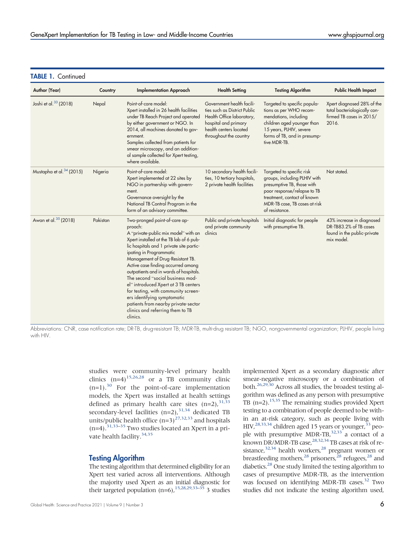#### TABLE 1. Continued

| Author (Year)                        | Country  | <b>Implementation Approach</b>                                                                                                                                                                                                                                                                                                                                                                                                                                                                                                                                  | <b>Health Setting</b>                                                                                                                                              | <b>Testing Algorithm</b>                                                                                                                                                                                 | <b>Public Health Impact</b>                                                                      |
|--------------------------------------|----------|-----------------------------------------------------------------------------------------------------------------------------------------------------------------------------------------------------------------------------------------------------------------------------------------------------------------------------------------------------------------------------------------------------------------------------------------------------------------------------------------------------------------------------------------------------------------|--------------------------------------------------------------------------------------------------------------------------------------------------------------------|----------------------------------------------------------------------------------------------------------------------------------------------------------------------------------------------------------|--------------------------------------------------------------------------------------------------|
| Joshi et al. <sup>33</sup> (2018)    | Nepal    | Point-of-care model:<br>Xpert installed in 26 health facilities<br>under TB Reach Project and operated<br>by either government or NGO. In<br>2014, all machines donated to gov-<br>ernment.<br>Samples collected from patients for<br>smear microscopy, and an addition-<br>al sample collected for Xpert testing,<br>where available.                                                                                                                                                                                                                          | Government health facili-<br>ties such as District Public<br>Health Office laboratory,<br>hospital and primary<br>health centers located<br>throughout the country | Targeted to specific popula-<br>tions as per WHO recom-<br>mendations, including<br>children aged younger than<br>15 years, PLHIV, severe<br>forms of TB, and in presump-<br>tive MDR-TB.                | Xpert diagnosed 28% of the<br>total bacteriologically con-<br>firmed TB cases in 2015/<br>2016.  |
| Mustapha et al. <sup>34</sup> (2015) | Nigeria  | Point-of-care model:<br>Xpert implemented at 22 sites by<br>NGO in partnership with govern-<br>ment.<br>Governance oversight by the<br>National TB Control Program in the<br>form of an advisory committee.                                                                                                                                                                                                                                                                                                                                                     | 10 secondary health facili-<br>ties, 10 tertiary hospitals,<br>2 private health facilities                                                                         | Targeted to specific risk<br>groups, including PLHIV with<br>presumptive TB, those with<br>poor response/relapse to TB<br>treatment, contact of known<br>MDR-TB case, TB cases at risk<br>of resistance. | Not stated.                                                                                      |
| Awan et al. <sup>35</sup> (2018)     | Pakistan | Two-pronged point-of-care ap-<br>proach:<br>A "private-public mix model" with an<br>Xpert installed at the TB lab of 6 pub-<br>lic hospitals and 1 private site partic-<br>ipating in Programmatic<br>Management of Drug-Resistant TB.<br>Active case finding occurred among<br>outpatients and in wards of hospitals.<br>The second "social business mod-<br>el" introduced Xpert at 3 TB centers<br>for testing, with community screen-<br>ers identifying symptomatic<br>patients from nearby private-sector<br>clinics and referring them to TB<br>clinics. | Public and private hospitals<br>and private community<br>clinics                                                                                                   | Initial diagnostic for people<br>with presumptive TB.                                                                                                                                                    | 43% increase in diagnosed<br>DR-TB83.2% of TB cases<br>found in the public-private<br>mix model. |

Abbreviations: CNR, case notification rate; DR-TB, drug-resistant TB; MDR-TB, multi-drug resistant TB; NGO, nongovernmental organization; PLHIV, people living with HIV.

> studies were community-level primary health clinics  $(n=4)^{15,26,28}$  $(n=4)^{15,26,28}$  $(n=4)^{15,26,28}$  $(n=4)^{15,26,28}$  or a TB community clinic  $(n=1).$ <sup>30</sup> For the point-of-care implementation models, the Xpert was installed at health settings defined as primary health care sites  $(n=2)$ ,  $31,33$  $31,33$ secondary-level facilities  $(n=2)$ ,  $31,34$  $31,34$  dedicated TB units/public health office  $(n=3)^{27,32,33}$  $(n=3)^{27,32,33}$  $(n=3)^{27,32,33}$  $(n=3)^{27,32,33}$  and hospitals  $(n=4)$ .<sup>31,[33](#page-11-25)–[35](#page-11-20)</sup> Two studies located an Xpert in a pri-vate health facility.<sup>[34](#page-11-26)[,35](#page-11-20)</sup>

#### Testing Algorithm

The testing algorithm that determined eligibility for an Xpert test varied across all interventions. Although the majority used Xpert as an initial diagnostic for their targeted population  $(n=6)$ ,  $15,28,29,33-35$  $15,28,29,33-35$  $15,28,29,33-35$  $15,28,29,33-35$  $15,28,29,33-35$  $15,28,29,33-35$  3 studies

Global Health: Science and Practice 2021 | Volume 9 | Number 3  $\pm$ 

implemented Xpert as a secondary diagnostic after smear-negative microscopy or a combination of both[.26](#page-11-17)[,29](#page-11-23)[,30](#page-11-18) Across all studies, the broadest testing algorithm was defined as any person with presumptive TB  $(n=2)$ .<sup>[15](#page-11-6)[,35](#page-11-20)</sup> The remaining studies provided Xpert testing to a combination of people deemed to be within an at-risk category, such as people living with HIV,<sup>28[,33](#page-11-25)[,34](#page-11-26)</sup> children aged 15 years or younger,<sup>33</sup> peo-ple with presumptive MDR-TB,<sup>32[,33](#page-11-25)</sup> a contact of a known DR/MDR-TB case,<sup>28[,32](#page-11-24)[,34](#page-11-26)</sup> TB cases at risk of re-sistance,<sup>32[,34](#page-11-26)</sup> health workers,<sup>28</sup> pregnant women or breastfeeding mothers,  $^{28}$  $^{28}$  $^{28}$  prisoners,  $^{28}$  refugees,  $^{28}$  and diabetics.<sup>28</sup> One study limited the testing algorithm to cases of presumptive MDR-TB, as the intervention was focused on identifying MDR-TB cases.<sup>32</sup> Two studies did not indicate the testing algorithm used,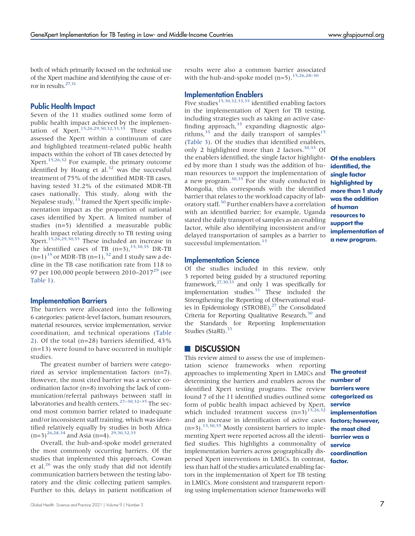both of which primarily focused on the technical use of the Xpert machine and identifying the cause of error in results[.27,](#page-11-22)[31](#page-11-19)

#### Public Health Impact

Seven of the 11 studies outlined some form of public health impact achieved by the implemen-tation of Xpert.<sup>[15,](#page-11-6)[26](#page-11-17)[,29](#page-11-23)[,30,](#page-11-18)[32,](#page-11-24)[33](#page-11-25)[,35](#page-11-20)</sup> Three studies assessed the Xpert within a continuum of care and highlighted treatment-related public health impacts within the cohort of TB cases detected by Xpert.<sup>[15,](#page-11-6)[26,](#page-11-17)[32](#page-11-24)</sup> For example, the primary outcome identified by Hoang et al. $32$  was the successful treatment of 75% of the identified MDR-TB cases, having tested 31.2% of the estimated MDR-TB cases nationally. This study, along with the Nepalese study,  $33$  framed the Xpert specific implementation impact as the proportion of national cases identified by Xpert. A limited number of studies (n=5) identified a measurable public health impact relating directly to TB testing using Xpert.[15,](#page-11-6)[26,](#page-11-17)[29](#page-11-23)[,30,](#page-11-18)[35](#page-11-20) These included an increase in the identified cases of TB  $(n=3)$ ,  $^{15,30,35}$  $^{15,30,35}$  $^{15,30,35}$  $^{15,30,35}$  DR-TB  $(n=1)^{35}$  $(n=1)^{35}$  $(n=1)^{35}$  or MDR-TB  $(n=1)$ ,  $32$  and 1 study saw a decline in the TB case notification rate from 118 to 97 per 100,000 people between 2010–2017<sup>[29](#page-11-23)</sup> (see [Table 1](#page-4-0)).

#### Implementation Barriers

The barriers were allocated into the following 6 categories: patient-level factors, human resources, material resources, service implementation, service coordination, and technical operations ([Table](#page-7-0) [2\)](#page-7-0). Of the total (n=28) barriers identified, 43% (n=13) were found to have occurred in multiple studies.

The greatest number of barriers were categorized as service implementation factors (n=7). However, the most cited barrier was a service coordination factor (n=8) involving the lack of communication/referral pathways between staff in laboratories and health centers.<sup>[27](#page-11-22)–[30,](#page-11-18)[32](#page-11-24)–[35](#page-11-20)</sup> The second most common barrier related to inadequate and/or inconsistent staff training, which was identified relatively equally by studies in both Africa  $(n=3)^{26,28,34}$  $(n=3)^{26,28,34}$  $(n=3)^{26,28,34}$  $(n=3)^{26,28,34}$  $(n=3)^{26,28,34}$  and Asia (n=4).<sup>[29,](#page-11-23)[30](#page-11-18)[,32,](#page-11-24)[35](#page-11-20)</sup>

Overall, the hub-and-spoke model generated the most commonly occurring barriers. Of the studies that implemented this approach, Cowan et al.<sup>[26](#page-11-17)</sup> was the only study that did not identify communication barriers between the testing laboratory and the clinic collecting patient samples. Further to this, delays in patient notification of results were also a common barrier associated with the hub-and-spoke model  $(n=5)$ .<sup>[15,](#page-11-6)[26](#page-11-17)[,28](#page-11-21)–[30](#page-11-18)</sup>

#### Implementation Enablers

Five studies<sup>[15,](#page-11-6)[30](#page-11-18)[,32](#page-11-24)[,33,](#page-11-25)[35](#page-11-20)</sup> identified enabling factors in the implementation of Xpert for TB testing, including strategies such as taking an active case-finding approach,<sup>[35](#page-11-20)</sup> expanding diagnostic algorithms,  $35$  and the daily transport of samples<sup>[15](#page-11-6)</sup> [\(Table 3](#page-9-0)). Of the studies that identified enablers, only 2 highlighted more than 2 factors. $30,35$  $30,35$  Of the enablers identified, the single factor highlighted by more than 1 study was the addition of human resources to support the implementation of a new program. $30,35$  $30,35$  For the study conducted in Mongolia, this corresponds with the identified barrier that relates to the workload capacity of lab-oratory staff.<sup>[30](#page-11-18)</sup> Further enablers have a correlation with an identified barrier; for example, Uganda stated the daily transport of samples as an enabling factor, while also identifying inconsistent and/or delayed transportation of samples as a barrier to successful implementation.<sup>[15](#page-11-6)</sup>

Of the enablers identified, the single factor highlighted by more than 1 study was the addition of human resources to support the implementation of a new program.

#### Implementation Science

Of the studies included in this review, only 3 reported being guided by a structured reporting framework,<sup>[27](#page-11-22)[,30](#page-11-18)[,33](#page-11-25)</sup> and only 1 was specifically for implementation studies. $33$  These included the Strengthening the Reporting of Observational studies in Epidemiology (STROBE), $^{27}$  $^{27}$  $^{27}$  the Consolidated Criteria for Reporting Qualitative Research, $30$  and the Standards for Reporting Implementation Studies (StaRI).<sup>33</sup>

#### **DISCUSSION**

This review aimed to assess the use of implementation science frameworks when reporting approaches to implementing Xpert in LMICs and determining the barriers and enablers across the identified Xpert testing programs. The review found 7 of the 11 identified studies outlined some **categorized as** form of public health impact achieved by Xpert, which included treatment success  $(n=3)^{15,26,32}$  $(n=3)^{15,26,32}$  $(n=3)^{15,26,32}$  $(n=3)^{15,26,32}$  $(n=3)^{15,26,32}$ and an increase in identification of active cases factors; however,  $(n=3).$ <sup>15,[30,](#page-11-18)[35](#page-11-20)</sup> Mostly consistent barriers to implementing Xpert were reported across all the identified studies. This highlights a commonality of implementation barriers across geographically dispersed Xpert interventions in LMICs. In contrast, factor. less than half of the studies articulated enabling factors in the implementation of Xpert for TB testing in LMICs. More consistent and transparent reporting using implementation science frameworks will

The greatest number of barriers were service implementation the most cited barrier was a service coordination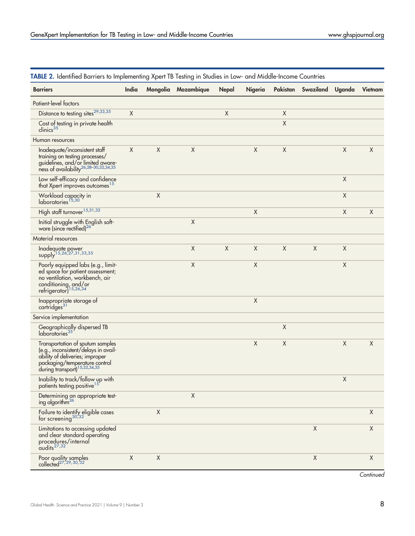| <b>Barriers</b>                                                                                                                                                                          | India       |             | Mongolia Mozambique | Nepal       | Nigeria     | Pakistan    | Swaziland   | Uganda      | Vietnam     |
|------------------------------------------------------------------------------------------------------------------------------------------------------------------------------------------|-------------|-------------|---------------------|-------------|-------------|-------------|-------------|-------------|-------------|
| Patient-level factors                                                                                                                                                                    |             |             |                     |             |             |             |             |             |             |
| Distance to testing sites <sup>29,33,35</sup>                                                                                                                                            | X           |             |                     | $\mathsf X$ |             | X           |             |             |             |
| Cost of testing in private health<br>clinics <sup>35</sup>                                                                                                                               |             |             |                     |             |             | $\mathsf X$ |             |             |             |
| Human resources                                                                                                                                                                          |             |             |                     |             |             |             |             |             |             |
| Inadequate/inconsistent staff<br>training on testing processes/<br>guidelines, and/or limited aware-<br>ness of availability <sup>26,28-30,32,34,35</sup>                                | X           | X           | $\mathsf X$         |             | $\mathsf X$ | Χ           |             | $\mathsf X$ | $\mathsf X$ |
| Low self-efficacy and confidence<br>that Xpert improves outcomes <sup>15</sup>                                                                                                           |             |             |                     |             |             |             |             | $\mathsf X$ |             |
| Workload capacity in<br>laboratories <sup>15,30</sup>                                                                                                                                    |             | $\mathsf X$ |                     |             |             |             |             | $\mathsf X$ |             |
| High staff turnover <sup>15,31,32</sup>                                                                                                                                                  |             |             |                     |             | X           |             |             | X           | X           |
| Initial struggle with English soft-<br>ware (since rectified) <sup>26</sup>                                                                                                              |             |             | $\mathsf X$         |             |             |             |             |             |             |
| Material resources                                                                                                                                                                       |             |             |                     |             |             |             |             |             |             |
| Inadequate power<br>supply <sup>15,26,27,31,33,35</sup>                                                                                                                                  |             |             | X                   | $\mathsf X$ | $\sf X$     | $\mathsf X$ | $\mathsf X$ | $\mathsf X$ |             |
| Poorly equipped labs (e.g., limit-<br>ed space for patient assessment;<br>no ventilation, workbench, air<br>conditioning, and/or<br>refrigerator) <sup>15,26,34</sup>                    |             |             | X                   |             | X           |             |             | X           |             |
| Inappropriate storage of<br>cartridges <sup>31</sup>                                                                                                                                     |             |             |                     |             | $\mathsf X$ |             |             |             |             |
| Service implementation                                                                                                                                                                   |             |             |                     |             |             |             |             |             |             |
| Geographically dispersed TB laboratories $35$                                                                                                                                            |             |             |                     |             |             | $\sf X$     |             |             |             |
| Transportation of sputum samples<br>(e.g., inconsistent/delays in avail-<br>ability of deliveries; improper<br>packaging/temperature control<br>during transport) <sup>15,32,34,35</sup> |             |             |                     |             | $\mathsf X$ | $\mathsf X$ |             | $\mathsf X$ | $\mathsf X$ |
| Inability to track/follow up with<br>patients testing positive $^{15}$                                                                                                                   |             |             |                     |             |             |             |             | $\mathsf X$ |             |
| Determining an appropriate test-<br>ing algorithm <sup>26</sup>                                                                                                                          |             |             | $\mathsf X$         |             |             |             |             |             |             |
| Failure to identify eligible cases<br>for screening $30,32$                                                                                                                              |             | Χ           |                     |             |             |             |             |             | X           |
| Limitations to accessing updated<br>and clear standard operating<br>procedures/internal<br>$audits^{27,32}$                                                                              |             |             |                     |             |             |             | $\mathsf X$ |             | $\mathsf X$ |
| Poor quality samples<br>collected <sup>27, 29, 30, 32</sup>                                                                                                                              | $\mathsf X$ | X           |                     |             |             |             | $\mathsf X$ |             | X           |

<span id="page-7-0"></span>TABLE 2. Identified Barriers to Implementing Xpert TB Testing in Studies in Low- and Middle-Income Countries

**Continued**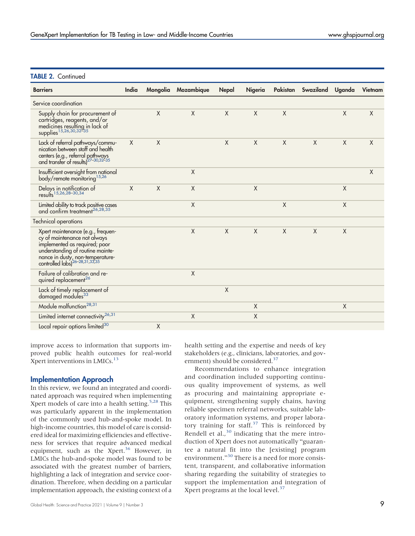#### **TABLE 2. Continued**

| <b>Barriers</b>                                                                                                                                                                                                          | India  |   | Mongolia Mozambique | Nepal   | Nigeria |        | Pakistan Swaziland Uganda |         | Vietnam     |
|--------------------------------------------------------------------------------------------------------------------------------------------------------------------------------------------------------------------------|--------|---|---------------------|---------|---------|--------|---------------------------|---------|-------------|
| Service coordination                                                                                                                                                                                                     |        |   |                     |         |         |        |                           |         |             |
| Supply chain for procurement of<br>cartridges, reagents, and/or<br>medicines resulting in lack of                                                                                                                        |        | X | $\sf X$             | $\chi$  | X       | X      |                           | $\sf X$ | $\mathsf X$ |
| Lack of referral pathways/commu-<br>nication between staff and health<br>centers (e.g., referral pathways<br>and transfer of results) <sup>27-30,32-35</sup>                                                             | $\chi$ | X |                     | $\sf X$ | X       | X      | $\mathsf{X}$              | X       | X           |
| Insufficient oversight from national<br>body/remote monitoring <sup>15,26</sup>                                                                                                                                          |        |   | X                   |         |         |        |                           |         | X           |
| Delays in notification of<br>results <sup>15,26,28-30,34</sup>                                                                                                                                                           | X      | X | X                   |         | X       |        |                           | X       |             |
| Limited ability to track positive cases<br>and confirm treatment $^{26,28,35}$                                                                                                                                           |        |   | X                   |         |         | $\chi$ |                           | X       |             |
| <b>Technical operations</b>                                                                                                                                                                                              |        |   |                     |         |         |        |                           |         |             |
| Xpert maintenance (e.g., frequen-<br>cy of maintenance not always<br>implemented as required; poor<br>understanding of routine mainte-<br>nance in dusty, non-temperature-<br>controlled labs) <sup>26-28,31,33,35</sup> |        |   | $\mathsf X$         | X       | X       | $\chi$ | $\sf X$                   | $\sf X$ |             |
| Failure of calibration and re-<br>quired replacement <sup>26</sup>                                                                                                                                                       |        |   | $\sf X$             |         |         |        |                           |         |             |
| Lack of timely replacement of<br>damaged modules <sup>33</sup>                                                                                                                                                           |        |   |                     | $\sf X$ |         |        |                           |         |             |
| Module malfunction <sup>28,31</sup>                                                                                                                                                                                      |        |   |                     |         | X       |        |                           | X       |             |
| Limited internet connectivity <sup>26,31</sup>                                                                                                                                                                           |        |   | X                   |         | Χ       |        |                           |         |             |
| Local repair options limited <sup>30</sup>                                                                                                                                                                               |        | Χ |                     |         |         |        |                           |         |             |

improve access to information that supports improved public health outcomes for real-world Xpert interventions in LMICs.<sup>13</sup>

#### Implementation Approach

In this review, we found an integrated and coordinated approach was required when implementing Xpert models of care into a health setting. $5.28$  $5.28$  This was particularly apparent in the implementation of the commonly used hub-and-spoke model. In high-income countries, this model of care is considered ideal for maximizing efficiencies and effectiveness for services that require advanced medical equipment, such as the Xpert.<sup>36</sup> However, in LMICs the hub-and-spoke model was found to be associated with the greatest number of barriers, highlighting a lack of integration and service coordination. Therefore, when deciding on a particular implementation approach, the existing context of a

Global Health: Science and Practice 2021 | Volume 9 | Number 3  $\mathcal P$ 

health setting and the expertise and needs of key stakeholders (e.g., clinicians, laboratories, and gov-ernment) should be considered.<sup>[37](#page-11-28)</sup>

Recommendations to enhance integration and coordination included supporting continuous quality improvement of systems, as well as procuring and maintaining appropriate equipment, strengthening supply chains, having reliable specimen referral networks, suitable laboratory information systems, and proper labora-tory training for staff.<sup>[37](#page-11-28)</sup> This is reinforced by Rendell et al., $30$  indicating that the mere introduction of Xpert does not automatically "guarantee a natural fit into the [existing] program environment."[30](#page-11-18) There is a need for more consistent, transparent, and collaborative information sharing regarding the suitability of strategies to support the implementation and integration of Xpert programs at the local level.<sup>[37](#page-11-28)</sup>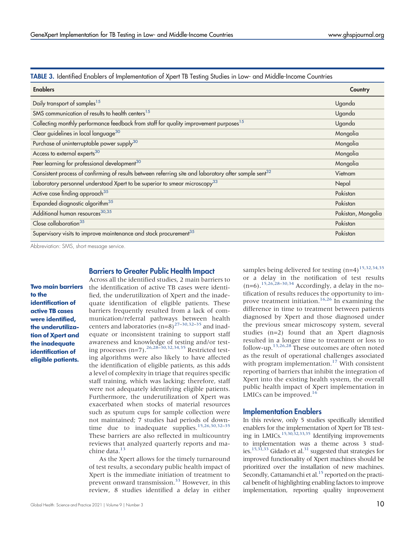<span id="page-9-0"></span>

|--|

| <b>Enablers</b>                                                                                                   | Country            |
|-------------------------------------------------------------------------------------------------------------------|--------------------|
| Daily transport of samples <sup>15</sup>                                                                          | Uganda             |
| SMS communication of results to health centers <sup>15</sup>                                                      | Uganda             |
| Collecting monthly performance feedback from staff for quality improvement purposes <sup>15</sup>                 | Uganda             |
| Clear guidelines in local language <sup>30</sup>                                                                  | Mongolia           |
| Purchase of uninterruptable power supply <sup>30</sup>                                                            | Mongolia           |
| Access to external experts <sup>30</sup>                                                                          | Mongolia           |
| Peer learning for professional development <sup>30</sup>                                                          | Mongolia           |
| Consistent process of confirming of results between referring site and laboratory after sample sent <sup>32</sup> | Vietnam            |
| Laboratory personnel understood Xpert to be superior to smear microscopy <sup>33</sup>                            | Nepal              |
| Active case finding approach <sup>35</sup>                                                                        | Pakistan           |
| Expanded diagnostic algorithm <sup>35</sup>                                                                       | Pakistan           |
| Additional human resources <sup>30,35</sup>                                                                       | Pakistan, Mongolia |
| Close collaboration <sup>35</sup>                                                                                 | Pakistan           |
| Supervisory visits to improve maintenance and stock procurement <sup>35</sup>                                     | Pakistan           |

Abbreviation: SMS, short message service.

# Two main barriers

to the identification of active TB cases were identified, the underutilization of Xpert and the inadequate identification of eligible patients.

Across all the identified studies, 2 main barriers to the identification of active TB cases were identified, the underutilization of Xpert and the inadequate identification of eligible patients. These barriers frequently resulted from a lack of communication/referral pathways between health centers and laboratories  $(n=8)^{27-30,32-35}$  $(n=8)^{27-30,32-35}$  $(n=8)^{27-30,32-35}$  $(n=8)^{27-30,32-35}$  $(n=8)^{27-30,32-35}$  $(n=8)^{27-30,32-35}$  $(n=8)^{27-30,32-35}$  $(n=8)^{27-30,32-35}$  and inadequate or inconsistent training to support staff awareness and knowledge of testing and/or testing processes  $(n=7)$ .<sup>26,[28](#page-11-21)–[30,](#page-11-18)[32](#page-11-24)[,34](#page-11-26)[,35](#page-11-20)</sup> Restricted testing algorithms were also likely to have affected the identification of eligible patients, as this adds a level of complexity in triage that requires specific staff training, which was lacking; therefore, staff were not adequately identifying eligible patients. Furthermore, the underutilization of Xpert was exacerbated when stocks of material resources such as sputum cups for sample collection were not maintained; 7 studies had periods of down-time due to inadequate supplies.<sup>[15](#page-11-6)[,26,](#page-11-17)[30,](#page-11-18)[32](#page-11-24)-[35](#page-11-20)</sup> These barriers are also reflected in multicountry reviews that analyzed quarterly reports and machine data.<sup>13</sup>

Barriers to Greater Public Health Impact

As the Xpert allows for the timely turnaround of test results, a secondary public health impact of Xpert is the immediate initiation of treatment to prevent onward transmission.[33](#page-11-25) However, in this review, 8 studies identified a delay in either samples being delivered for testing  $(n=4)^{15,32,34,35}$  $(n=4)^{15,32,34,35}$  $(n=4)^{15,32,34,35}$  $(n=4)^{15,32,34,35}$  $(n=4)^{15,32,34,35}$  $(n=4)^{15,32,34,35}$ or a delay in the notification of test results  $(n=6).$ <sup>[15](#page-11-6)[,26](#page-11-17)[,28](#page-11-21)–[30](#page-11-18),[34](#page-11-26)</sup> Accordingly, a delay in the notification of results reduces the opportunity to im-prove treatment initiation.<sup>16,[26](#page-11-17)</sup> In examining the difference in time to treatment between patients diagnosed by Xpert and those diagnosed under the previous smear microscopy system, several studies (n=2) found that an Xpert diagnosis resulted in a longer time to treatment or loss to follow-up.[13](#page-11-4)[,26](#page-11-17)[,28](#page-11-21) These outcomes are often noted as the result of operational challenges associated with program implementation.<sup>[17](#page-11-8)</sup> With consistent reporting of barriers that inhibit the integration of Xpert into the existing health system, the overall public health impact of Xpert implementation in LMICs can be improved.<sup>16</sup>

#### Implementation Enablers

In this review, only 5 studies specifically identified enablers for the implementation of Xpert for TB test-ing in LMICs.<sup>15[,30,](#page-11-18)[32](#page-11-24)[,33](#page-11-25)[,35](#page-11-20)</sup> Identifying improvements to implementation was a theme across 3 stud-ies.<sup>15[,31](#page-11-19)[,33](#page-11-25)</sup> Gidado et al.<sup>31</sup> suggested that strategies for improved functionality of Xpert machines should be prioritized over the installation of new machines. Secondly, Cattamanchi et al.<sup>15</sup> reported on the practical benefit of highlighting enabling factors to improve implementation, reporting quality improvement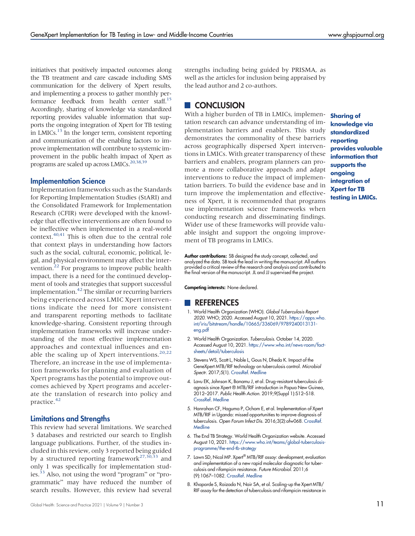initiatives that positively impacted outcomes along the TB treatment and care cascade including SMS communication for the delivery of Xpert results, and implementing a process to gather monthly performance feedback from health center staff.<sup>15</sup> Accordingly, sharing of knowledge via standardized reporting provides valuable information that supports the ongoing integration of Xpert for TB testing in LMICs. $<sup>13</sup>$  In the longer term, consistent reporting</sup> and communication of the enabling factors to improve implementation will contribute to systemic improvement in the public health impact of Xpert as programs are scaled up across LMICs.<sup>20,[38](#page-11-29)[,39](#page-11-30)</sup>

#### Implementation Science

Implementation frameworks such as the Standards for Reporting Implementation Studies (StARI) and the Consolidated Framework for Implementation Research (CFIR) were developed with the knowledge that effective interventions are often found to be ineffective when implemented in a real-world context.[40](#page-11-31)[,41](#page-11-32) This is often due to the central role that context plays in understanding how factors such as the social, cultural, economic, political, legal, and physical environment may affect the intervention.<sup>22</sup> For programs to improve public health impact, there is a need for the continued development of tools and strategies that support successful implementation.<sup>[42](#page-11-33)</sup> The similar or recurring barriers being experienced across LMIC Xpert interventions indicate the need for more consistent and transparent reporting methods to facilitate knowledge-sharing. Consistent reporting through implementation frameworks will increase understanding of the most effective implementation approaches and contextual influences and enable the scaling up of Xpert interventions. $20,22$  $20,22$ Therefore, an increase in the use of implementation frameworks for planning and evaluation of Xpert programs has the potential to improve outcomes achieved by Xpert programs and accelerate the translation of research into policy and practice.[42](#page-11-33)

#### Limitations and Strengths

This review had several limitations. We searched 3 databases and restricted our search to English language publications. Further, of the studies included in this review, only 3 reported being guided by a structured reporting framework<sup>[27,](#page-11-22)[30](#page-11-18)[,33](#page-11-25)</sup> and only 1 was specifically for implementation studies.<sup>33</sup> Also, not using the word "program" or "programmatic" may have reduced the number of search results. However, this review had several

strengths including being guided by PRISMA, as well as the articles for inclusion being appraised by the lead author and 2 co-authors.

# **CONCLUSION**

With a higher burden of TB in LMICs, implementation research can advance understanding of implementation barriers and enablers. This study demonstrates the commonality of these barriers across geographically dispersed Xpert interventions in LMICs. With greater transparency of these barriers and enablers, program planners can promote a more collaborative approach and adapt interventions to reduce the impact of implementation barriers. To build the evidence base and in turn improve the implementation and effectiveness of Xpert, it is recommended that programs use implementation science frameworks when conducting research and disseminating findings. Wider use of these frameworks will provide valuable insight and support the ongoing improvement of TB programs in LMICs.

Sharing of knowledge via standardized reporting provides valuable information that supports the ongoing integration of Xpert for TB testing in LMICs.

Author contributions: SB designed the study concept, collected, and analyzed the data. SB took the lead in writing the manuscript. All authors provided a critical review of the research and analysis and contributed to the final version of the manuscript. JL and JJ supervised the project.

Competing interests: None declared.

#### **REFERENCES**

- <span id="page-10-0"></span>1. World Health Organization (WHO). Global Tuberculosis Report 2020. WHO; 2020. Accessed August 10, 2021. [https://apps.who.](https://apps.who.int/iris/bitstream/handle/10665/336069/9789240013131-eng.pdf) [int/iris/bitstream/handle/10665/336069/9789240013131](https://apps.who.int/iris/bitstream/handle/10665/336069/9789240013131-eng.pdf) [eng.pdf](https://apps.who.int/iris/bitstream/handle/10665/336069/9789240013131-eng.pdf)
- <span id="page-10-1"></span>2. World Health Organization. Tuberculosis. October 14, 2020. Accessed August 10, 2021. [https://www.who.int/news-room/fact](https://www.who.int/news-room/fact-sheets/detail/tuberculosis)[sheets/detail/tuberculosis](https://www.who.int/news-room/fact-sheets/detail/tuberculosis)
- <span id="page-10-2"></span>3. Stevens WS, Scott L, Noble L, Gous N, Dheda K. Impact of the GeneXpert MTB/RIF technology on tuberculosis control. Microbiol Spectr. 2017;5(1). [CrossRef](https://doi.org/10.1128/microbiolspec.TBTB2-0040-2016). [Medline](http://www.ncbi.nlm.nih.gov/pubmed/28155817)
- <span id="page-10-3"></span>4. Lavu EK, Johnson K, Banamu J, et al. Drug-resistant tuberculosis diagnosis since Xpert ® MTB/RIF introduction in Papua New Guinea, 2012–2017. Public Health Action. 2019;9(Suppl 1):S12–S18. [CrossRef.](https://doi.org/10.5588/pha.19.0005) [Medline](http://www.ncbi.nlm.nih.gov/pubmed/31579644)
- <span id="page-10-4"></span>5. Hanrahan CF, Haguma P, Ochom E, et al. Implementation of Xpert MTB/RIF in Uganda: missed opportunities to improve diagnosis of tuberculosis. Open Forum Infect Dis. 2016;3(2):ofw068. [CrossRef.](https://doi.org/10.1093/ofid/ofw068) **[Medline](http://www.ncbi.nlm.nih.gov/pubmed/27186589)**
- <span id="page-10-5"></span>6. The End TB Strategy. World Health Organization website. Accessed August 10, 2021. [https://www.who.int/teams/global-tuberculosis](https://www.who.int/teams/global-tuberculosis-programme/the-end-tb-strategy)[programme/the-end-tb-strategy](https://www.who.int/teams/global-tuberculosis-programme/the-end-tb-strategy)
- <span id="page-10-6"></span>7. Lawn SD, Nicol MP. Xpert® MTB/RIF assay: development, evaluation and implementation of a new rapid molecular diagnostic for tuberculosis and rifampicin resistance. Future Microbiol. 2011;6 (9):1067–1082. [CrossRef.](https://doi.org/10.2217/fmb.11.84) [Medline](http://www.ncbi.nlm.nih.gov/pubmed/21958145)
- <span id="page-10-7"></span>8. Khaparde S, Raizada N, Nair SA, et al. Scaling-up the Xpert MTB/ RIF assay for the detection of tuberculosis and rifampicin resistance in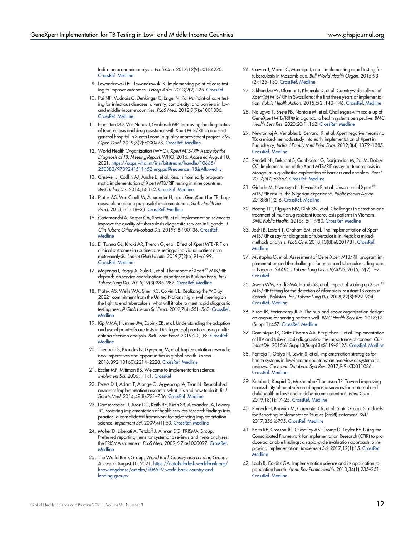India: an economic analysis. PLoS One. 2017;12(9):e0184270. [CrossRef.](https://doi.org/10.1371/journal.pone.0184270) [Medline](http://www.ncbi.nlm.nih.gov/pubmed/28880875)

- <span id="page-11-0"></span>9. Lewandrowski EL, Lewandrowski K. Implementing point-of-care testing to improve outcomes. J Hosp Adm. 2013;2(2):125. [CrossRef](https://doi.org/10.5430/jha.v2n2p125)
- <span id="page-11-1"></span>10. Pai NP, Vadnais C, Denkinger C, Engel N, Pai M. Point-of-care testing for infectious diseases: diversity, complexity, and barriers in lowand middle-income countries. PLoS Med. 2012;9(9):e1001306. [CrossRef.](https://doi.org/10.1371/journal.pmed.1001306) [Medline](http://www.ncbi.nlm.nih.gov/pubmed/22973183)
- <span id="page-11-2"></span>11. Hamilton DO, Vas Nunes J, Grobusch MP. Improving the diagnostics of tuberculosis and drug resistance with Xpert MTB/RIF in a district general hospital in Sierra Leone: a quality improvement project. BMJ Open Qual. 2019;8(2):e000478. [CrossRef](https://doi.org/10.1136/bmjoq-2018-000478). [Medline](http://www.ncbi.nlm.nih.gov/pubmed/31206055)
- <span id="page-11-3"></span>12. World Health Organization (WHO). Xpert MTB/RIF Assay for the Diagnosis of TB: Meeting Report. WHO; 2016. Accessed August 10, 2021. [https://apps.who.int/iris/bitstream/handle/10665/](https://apps.who.int/iris/bitstream/handle/10665/250383/9789241511452-eng.pdf?sequence=1&isAllowed=y) [250383/9789241511452-eng.pdf?sequence=1&isAllowed=y](https://apps.who.int/iris/bitstream/handle/10665/250383/9789241511452-eng.pdf?sequence=1&isAllowed=y)
- <span id="page-11-4"></span>13. Creswell J, Codlin AJ, Andre E, et al. Results from early programmatic implementation of Xpert MTB/RIF testing in nine countries. BMC Infect Dis. 2014;14(1):2. [CrossRef.](https://doi.org/10.1186/1471-2334-14-2) [Medline](http://www.ncbi.nlm.nih.gov/pubmed/24383553)
- <span id="page-11-5"></span>14. Piatek AS, Van Cleeff M, Alexander H, et al. GeneXpert for TB diagnosis: planned and purposeful implementation. Glob Health Sci Pract. 2013;1(1):18–23. [CrossRef.](https://doi.org/10.9745/GHSP-D-12-00004) [Medline](http://www.ncbi.nlm.nih.gov/pubmed/25276513)
- <span id="page-11-6"></span>15. Cattamanchi A, Berger CA, Shete PB, et al. Implementation science to improve the quality of tuberculosis diagnostic services in Uganda. J Clin Tuberc Other Mycobact Dis. 2019;18:100136. [CrossRef.](https://doi.org/10.1016/j.jctube.2019.100136) **[Medline](http://www.ncbi.nlm.nih.gov/pubmed/31879703)**
- <span id="page-11-7"></span>16. Di Tanna GL, Khaki AR, Theron G, et al. Effect of Xpert MTB/RIF on clinical outcomes in routine care settings: individual patient data meta-analysis. Lancet Glob Health. 2019;7(2):e191–e199. [CrossRef.](https://doi.org/10.1016/S2214-109X(18)30458-3) [Medline](http://www.ncbi.nlm.nih.gov/pubmed/30683238)
- <span id="page-11-8"></span>17. Moyenga I, Roggi A, Sulis G, et al. The impact of Xpert ® MTB/RIF depends on service coordination: experience in Burkina Faso. Int J Tuberc Lung Dis. 2015;19(3):285–287. [CrossRef.](https://doi.org/https://doi.org/10.5588/ijtld.14.0629) [Medline](http://www.ncbi.nlm.nih.gov/pubmed/25686135)
- <span id="page-11-9"></span>18. Piatek AS, Wells WA, Shen KC, Colvin CE. Realizing the "40 by 2022" commitment from the United Nations high-level meeting on the fight to end tuberculosis: what will it take to meet rapid diagnostic testing needs? Glob Health Sci Pract. 2019;7(4):551–563. [CrossRef.](https://doi.org/10.9745/GHSP-D-19-00244) **[Medline](http://www.ncbi.nlm.nih.gov/pubmed/31818871)**
- <span id="page-11-10"></span>19. Kip MMA, Hummel JM, Eppink EB, et al. Understanding the adoption and use of point-of-care tests in Dutch general practices using multicriteria decision analysis. BMC Fam Pract. 2019;20(1):8. [CrossRef](https://doi.org/10.1186/s12875-018-0893-4). **[Medline](http://www.ncbi.nlm.nih.gov/pubmed/30630430)**
- <span id="page-11-11"></span>20. Theobald S, Brandes N, Gyapong M, et al. Implementation research: new imperatives and opportunities in global health. Lancet. 2018;392(10160):2214–2228. [CrossRef.](https://doi.org/10.1016/S0140-6736(18)32205-0) [Medline](http://www.ncbi.nlm.nih.gov/pubmed/30314860)
- <span id="page-11-12"></span>21. Eccles MP, Mittman BS. Welcome to implementation science. Implement Sci. 2006;1(1):1. [CrossRef](https://doi.org/10.1186/1748-5908-1-1)
- <span id="page-11-13"></span>22. Peters DH, Adam T, Alonge O, Agyepong IA, Tran N. Republished research: Implementation research: what it is and how to do it. Br J Sports Med. 2014;48(8):731–736. [CrossRef](https://doi.org/10.1136/bmj.f6753). [Medline](http://www.ncbi.nlm.nih.gov/pubmed/24659611)
- <span id="page-11-14"></span>23. Damschroder LJ, Aron DC, Keith RE, Kirsh SR, Alexander JA, Lowery JC. Fostering implementation of health services research findings into practice: a consolidated framework for advancing implementation science. Implement Sci. 2009;4(1):50. [CrossRef](https://doi.org/10.1186/1748-5908-4-50). [Medline](http://www.ncbi.nlm.nih.gov/pubmed/19664226)
- <span id="page-11-15"></span>24. Moher D, Liberati A, Tetzlaff J, Altman DG; PRISMA Group. Preferred reporting items for systematic reviews and meta-analyses: the PRISMA statement. PLoS Med. 2009;6(7):e1000097. [CrossRef.](https://doi.org/10.1371/journal.pmed.1000097) **[Medline](http://www.ncbi.nlm.nih.gov/pubmed/19621072)**
- <span id="page-11-16"></span>25. The World Bank Group. World Bank Country and Lending Groups. Accessed August 10, 2021. [https://datahelpdesk.worldbank.org/](https://datahelpdesk.worldbank.org/knowledgebase/articles/906519-world-bank-country-and-lending-groups) [knowledgebase/articles/906519-world-bank-country-and](https://datahelpdesk.worldbank.org/knowledgebase/articles/906519-world-bank-country-and-lending-groups)[lending-groups](https://datahelpdesk.worldbank.org/knowledgebase/articles/906519-world-bank-country-and-lending-groups)
- <span id="page-11-17"></span>26. Cowan J, Michel C, Manhiça I, et al. Implementing rapid testing for tuberculosis in Mozambique. Bull World Health Organ. 2015;93 (2):125–130. [CrossRef](https://doi.org/10.2471/BLT.14.138560). [Medline](http://www.ncbi.nlm.nih.gov/pubmed/25883406)
- <span id="page-11-22"></span>27. Sikhondze W, Dlamini T, Khumalo D, et al. Countrywide roll-out of Xpert(®) MTB/RIF in Swaziland: the first three years of implementation. Public Health Action. 2015;5(2):140–146. [CrossRef.](https://doi.org/10.5588/pha.15.0001) [Medline](http://www.ncbi.nlm.nih.gov/pubmed/26400386)
- <span id="page-11-21"></span>28. Nalugwa T, Shete PB, Nantale M, et al. Challenges with scale-up of GeneXpert MTB/RIF® in Uganda: a health systems perspective. BMC Health Serv Res. 2020;20(1):162. [CrossRef.](https://doi.org/10.1186/s12913-020-4997-x) [Medline](http://www.ncbi.nlm.nih.gov/pubmed/32131814)
- <span id="page-11-23"></span>29. Newtonraj A, Venables E, Selvaraj K, et al. Xpert negative means no TB: a mixed-methods study into early implementation of Xpert in Puducherry, India. J Family Med Prim Care. 2019;8(4):1379–1385. [CrossRef](https://doi.org/10.4103/jfmpc.jfmpc_421_18). [Medline](http://www.ncbi.nlm.nih.gov/pubmed/31143725)
- <span id="page-11-18"></span>30. Rendell NL, Bekhbat S, Ganbaatar G, Dorjravdan M, Pai M, Dobler CC. Implementation of the Xpert MTB/RIF assay for tuberculosis in Mongolia: a qualitative exploration of barriers and enablers. PeerJ. 2017;5(7):e3567. [CrossRef](https://doi.org/10.7717/peerj.3567). [Medline](http://www.ncbi.nlm.nih.gov/pubmed/28717600)
- <span id="page-11-19"></span>31. Gidado M, Nwokoye N, Nwadike P, et al. Unsuccessful Xpert<sup>®</sup> MTB/RIF results: the Nigerian experience. Public Health Action. 2018;8(1):2–6. [CrossRef](https://doi.org/10.5588/pha.17.0080). [Medline](http://www.ncbi.nlm.nih.gov/pubmed/29581936)
- <span id="page-11-24"></span>32. Hoang TTT, Nguyen NV, Dinh SN, et al. Challenges in detection and treatment of multidrug resistant tuberculosis patients in Vietnam. BMC Public Health. 2015;15(1):980. [CrossRef.](https://doi.org/10.1186/s12889-015-2338-5) [Medline](http://www.ncbi.nlm.nih.gov/pubmed/26415893)
- <span id="page-11-25"></span>33. Joshi B, Lestari T, Graham SM, et al. The implementation of Xpert MTB/RIF assay for diagnosis of tuberculosis in Nepal: a mixedmethods analysis. PLoS One. 2018;13(8):e0201731. [CrossRef](https://doi.org/10.1371/journal.pone.0201731). [Medline](http://www.ncbi.nlm.nih.gov/pubmed/30096174)
- <span id="page-11-26"></span>34. Mustapha G, et al. Assessment of Gene-Xpert MTB/RIF program implementation and the challenges for enhanced tuberculosis diagnosis in Nigeria. SAARC J Tuberc Lung Dis HIV/AIDS. 2015;12(2):1–7. **[CrossRef](https://doi.org/10.3126/saarctb.v12i2.15948)**
- <span id="page-11-20"></span>35. Awan WM, Zaidi SMA, Habib SS, et al. Impact of scaling up Xpert ® MTB/RIF testing for the detection of rifampicin-resistant TB cases in Karachi, Pakistan. Int J Tuberc Lung Dis. 2018;22(8):899–904. [CrossRef](https://doi.org/10.5588/ijtld.17.0729). [Medline](http://www.ncbi.nlm.nih.gov/pubmed/29991399)
- <span id="page-11-27"></span>36. Elrod JK, Fortenberry JL Jr. The hub-and-spoke organization design: an avenue for serving patients well. BMC Health Serv Res. 2017;17 (Suppl 1):457. [CrossRef.](https://doi.org/10.1186/s12913-017-2341-x) [Medline](http://www.ncbi.nlm.nih.gov/pubmed/28722550)
- <span id="page-11-28"></span>37. Dominique JK, Ortiz-Osorno AA, Fitzgibbon J, et al. Implementation of HIV and tuberculosis diagnostics: the importance of context. Clin Infect Dis. 2015;61Suppl 3(Suppl 3):S119–S125. [CrossRef](https://doi.org/10.1093/cid/civ552). [Medline](http://www.ncbi.nlm.nih.gov/pubmed/26409272)
- <span id="page-11-29"></span>38. Pantoja T, Opiyo N, Lewin S, et al. Implementation strategies for health systems in low-income countries: an overview of systematic reviews. Cochrane Database Syst Rev. 2017;9(9):CD011086. [CrossRef](https://doi.org/10.1002/14651858.CD011086.pub2). [Medline](http://www.ncbi.nlm.nih.gov/pubmed/28895659)
- <span id="page-11-30"></span>39. Katoba J, Kuupiel D, Mashamba-Thompson TP. Toward improving accessibility of point-of-care diagnostic services for maternal and child health in low- and middle-income countries. Point Care. 2019;18(1):17–25. [CrossRef](https://doi.org/10.1097/POC.0000000000000180). [Medline](http://www.ncbi.nlm.nih.gov/pubmed/30886544)
- <span id="page-11-31"></span>40. Pinnock H, Barwick M, Carpenter CR, et al; StaRI Group. Standards for Reporting Implementation Studies (StaRI) statement. BMJ. 2017;356:i6795. [CrossRef](https://doi.org/10.1136/bmj.i6795). [Medline](http://www.ncbi.nlm.nih.gov/pubmed/28264797)
- <span id="page-11-32"></span>41. Keith RE, Crosson JC, O'Malley AS, Cromp D, Taylor EF. Using the Consolidated Framework for Implementation Research (CFIR) to produce actionable findings: a rapid-cycle evaluation approach to improving implementation. Implement Sci. 2017;12(1):15. [CrossRef.](https://doi.org/10.1186/s13012-017-0550-7) **[Medline](http://www.ncbi.nlm.nih.gov/pubmed/28187747)**
- <span id="page-11-33"></span>42. Lobb R, Colditz GA. Implementation science and its application to population health. Annu Rev Public Health. 2013;34(1):235–251. [CrossRef](https://doi.org/10.1146/annurev-publhealth-031912-114444). [Medline](http://www.ncbi.nlm.nih.gov/pubmed/23297655)